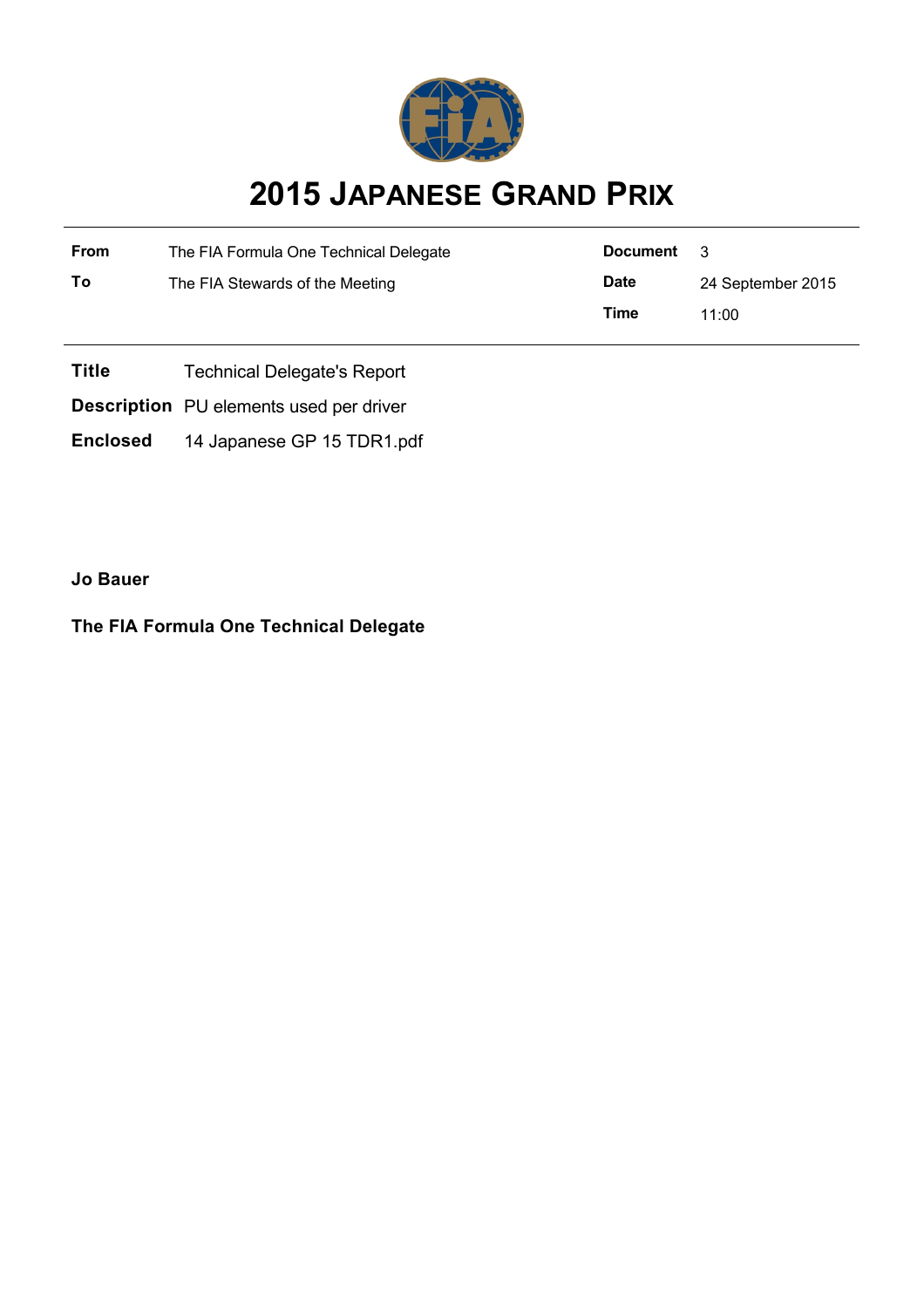

## **2015 JAPANESE GRAND PRIX**

| From | The FIA Formula One Technical Delegate | Document    | - 3               |  |
|------|----------------------------------------|-------------|-------------------|--|
| To   | The FIA Stewards of the Meeting        | <b>Date</b> | 24 September 2015 |  |
|      |                                        | Time        | 11:00             |  |
|      |                                        |             |                   |  |

- **Title** Technical Delegate's Report
- **Description** PU elements used per driver
- **Enclosed** 14 Japanese GP 15 TDR1.pdf

**Jo Bauer**

**The FIA Formula One Technical Delegate**